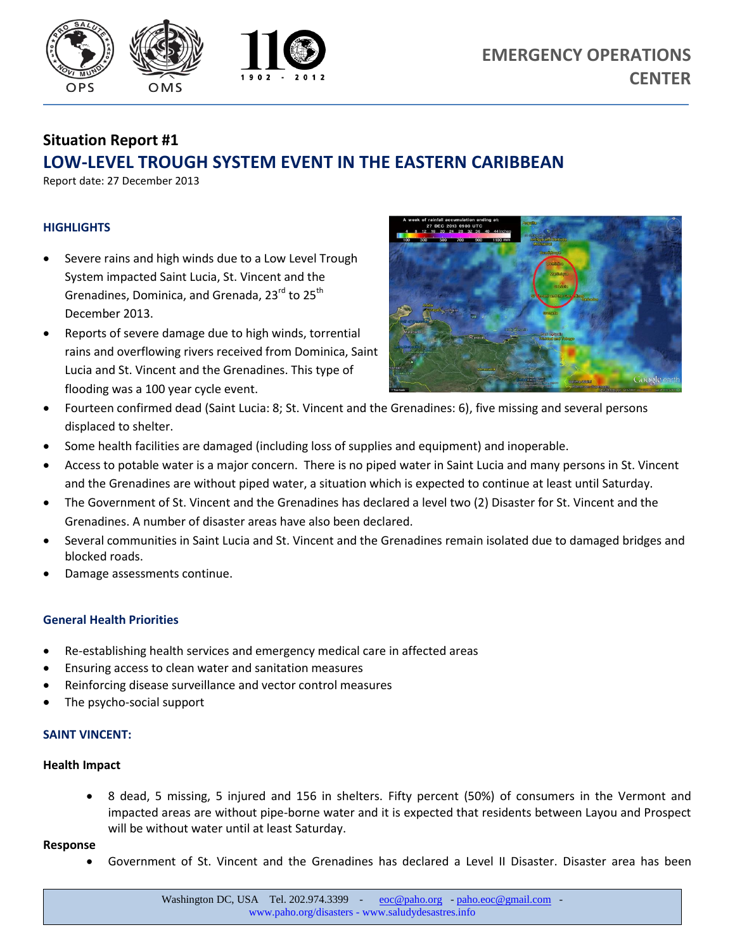

# **Situation Report #1 LOW-LEVEL TROUGH SYSTEM EVENT IN THE EASTERN CARIBBEAN**

Report date: 27 December 2013

## **HIGHLIGHTS**

- Severe rains and high winds due to a Low Level Trough System impacted Saint Lucia, St. Vincent and the Grenadines, Dominica, and Grenada, 23<sup>rd</sup> to 25<sup>th</sup> December 2013.
- Reports of severe damage due to high winds, torrential rains and overflowing rivers received from Dominica, Saint Lucia and St. Vincent and the Grenadines. This type of flooding was a 100 year cycle event.



- Fourteen confirmed dead (Saint Lucia: 8; St. Vincent and the Grenadines: 6), five missing and several persons displaced to shelter.
- Some health facilities are damaged (including loss of supplies and equipment) and inoperable.
- Access to potable water is a major concern. There is no piped water in Saint Lucia and many persons in St. Vincent and the Grenadines are without piped water, a situation which is expected to continue at least until Saturday.
- The Government of St. Vincent and the Grenadines has declared a level two (2) Disaster for St. Vincent and the Grenadines. A number of disaster areas have also been declared.
- Several communities in Saint Lucia and St. Vincent and the Grenadines remain isolated due to damaged bridges and blocked roads.
- Damage assessments continue.

## **General Health Priorities**

- Re-establishing health services and emergency medical care in affected areas
- Ensuring access to clean water and sanitation measures
- Reinforcing disease surveillance and vector control measures
- The psycho-social support

## **SAINT VINCENT:**

## **Health Impact**

 8 dead, 5 missing, 5 injured and 156 in shelters. Fifty percent (50%) of consumers in the Vermont and impacted areas are without pipe-borne water and it is expected that residents between Layou and Prospect will be without water until at least Saturday.

#### **Response**

Government of St. Vincent and the Grenadines has declared a Level II Disaster. Disaster area has been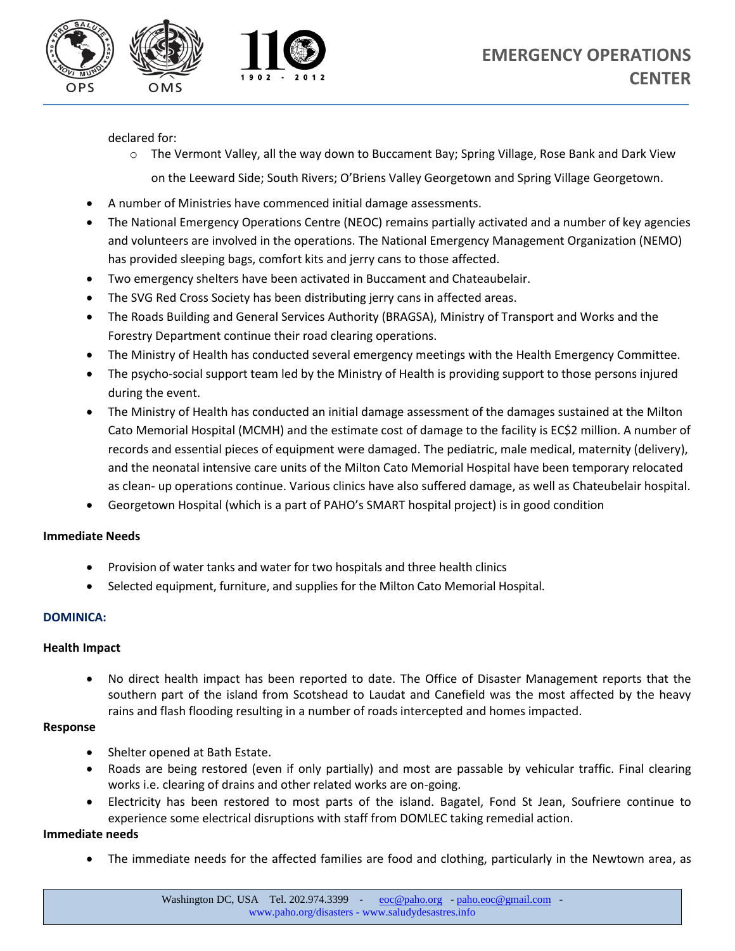

declared for:

o The Vermont Valley, all the way down to Buccament Bay; Spring Village, Rose Bank and Dark View

on the Leeward Side; South Rivers; O'Briens Valley Georgetown and Spring Village Georgetown.

- A number of Ministries have commenced initial damage assessments.
- The National Emergency Operations Centre (NEOC) remains partially activated and a number of key agencies and volunteers are involved in the operations. The National Emergency Management Organization (NEMO) has provided sleeping bags, comfort kits and jerry cans to those affected.
- Two emergency shelters have been activated in Buccament and Chateaubelair.
- The SVG Red Cross Society has been distributing jerry cans in affected areas.
- The Roads Building and General Services Authority (BRAGSA), Ministry of Transport and Works and the Forestry Department continue their road clearing operations.
- The Ministry of Health has conducted several emergency meetings with the Health Emergency Committee.
- The psycho-social support team led by the Ministry of Health is providing support to those persons injured during the event.
- The Ministry of Health has conducted an initial damage assessment of the damages sustained at the Milton Cato Memorial Hospital (MCMH) and the estimate cost of damage to the facility is EC\$2 million. A number of records and essential pieces of equipment were damaged. The pediatric, male medical, maternity (delivery), and the neonatal intensive care units of the Milton Cato Memorial Hospital have been temporary relocated as clean- up operations continue. Various clinics have also suffered damage, as well as Chateubelair hospital.
- Georgetown Hospital (which is a part of PAHO's SMART hospital project) is in good condition

## **Immediate Needs**

- Provision of water tanks and water for two hospitals and three health clinics
- Selected equipment, furniture, and supplies for the Milton Cato Memorial Hospital.

## **DOMINICA:**

## **Health Impact**

 No direct health impact has been reported to date. The Office of Disaster Management reports that the southern part of the island from Scotshead to Laudat and Canefield was the most affected by the heavy rains and flash flooding resulting in a number of roads intercepted and homes impacted.

## **Response**

- Shelter opened at Bath Estate.
- Roads are being restored (even if only partially) and most are passable by vehicular traffic. Final clearing works i.e. clearing of drains and other related works are on-going.
- Electricity has been restored to most parts of the island. Bagatel, Fond St Jean, Soufriere continue to experience some electrical disruptions with staff from DOMLEC taking remedial action.

## **Immediate needs**

The immediate needs for the affected families are food and clothing, particularly in the Newtown area, as